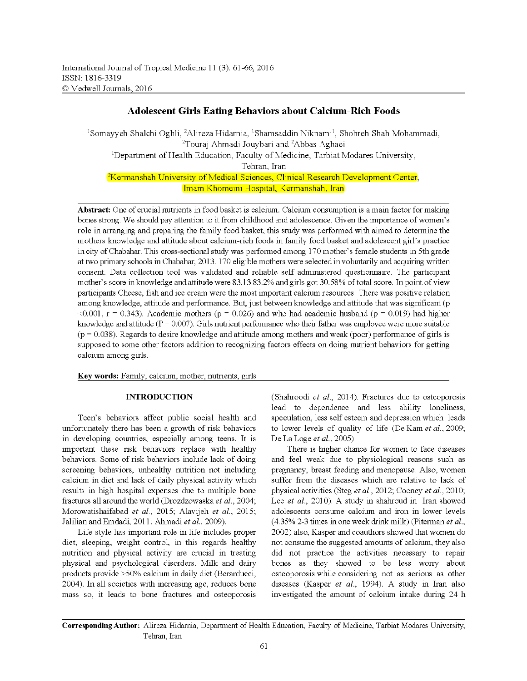# Adolescent Girls Eating Behaviors about Calcium-Rich Foods

<sup>1</sup>Somayyeh Shalchi Oghli, <sup>2</sup>Alireza Hidarnia, <sup>1</sup>Shamsaddin Niknami<sup>1</sup>, Shohreh Shah Mohammadi, <sup>2</sup>Touraj Ahmadi Jouybari and <sup>2</sup>Abbas Aghaei <sup>1</sup>Department of Health Education, Faculty of Medicine, Tarbiat Modares University, Tehran, Iran <sup>2</sup>Kermanshah University of Medical Sciences, Clinical Research Development Center, Imam Khomeini Hospital, Kermanshah, Iran

**Abstract:** One of crucial nutrients in food basket is calcium. Calcium consumption is a main factor for making bones strong. We should pay attention to it from childhood and adolescence. Given the importance of women's role in arranging and preparing the family food basket, this study was performed with aimed to determine the mothers knowledge and attitude about calciwn-rich foods in family food basket and adolescent girl's practice in city ofChabahar. This cross-sectional study was performed among 170 mother's female students in 5th grade at two primary schools in Chabahar, 2013. 170 eligible mothers were selected in voluntarily and acquiring written consent. Data collection tool was validated and reliable self administered questionnaire. The participant mother's score in knowledge and attitude were 83.13 83.2% and girls got 30.58% oftotal score. In point of view participants Cheese, fish and ice cream were the most important calciwn resources. There was positive relation among knowledge, attitude and performance. But, just between knowledge and attitude that was significant (p  $< 0.001$ , r = 0.343). Academic mothers (p = 0.026) and who had academic husband (p = 0.019) had higher knowledge and attitude  $(P = 0.007)$ . Girls nutrient performance who their father was employee were more suitable  $(p = 0.038)$ . Regards to desire knowledge and attitude among mothers and weak (poor) performance of girls is supposed to some other factors addition to recognizing factors effects on doing nutrient behaviors for getting calciwn among girls.

Key words: Family, calcium, mother, nutrients, girls

# INTRODUCTION

Teen's behaviors affect public social health and unfortunately there has been a growth of risk behaviors in developing countries, especially among teens. It is important these risk behaviors replace with healthy behaviors. Some of risk behaviors include lack of doing screening behaviors, unhealthy nutrition not including calciwn in diet and lack of daily physical activity which results in high hospital expenses due to multiple bone fractures all around the world (Drozdzowaska *et al.*, 2004; Morowatishaifabad et al., 2015; Alavijeh et al., 2015; Jalilian and Emdadi, 2011; Ahmadi et al., 2009).

Life style has important role in life includes proper diet, sleeping, weight control, in this regards healthy nutrition and physical activity are crucial in treating physical and psychological disorders. Milk and dairy products provide >50% calcium in daily diet (Berarducci, 2004). In all societies with increasing age, reduces bone mass so, it leads to bone fractures and osteoporosis (Shahroodi *et al.,* 2014). Fractures due to osteoporosis lead to dependence and less ability loneliness, speculation, less self esteem and depression which leads to lower levels of quality of life (De Kam et al., 2009; De La Loge *et al.*, 2005).

There is higher chance for women to face diseases and feel weak due to physiological reasons such as pregnancy, breast feeding and menopause. Also, women suffer from the diseases which are relative to lack of physical activities (Steg *et al.*, 2012; Cooney *et al.*, 2010; Lee *et al.*, 2010). A study in shahroud in Iran showed adolescents conswne calciwn and iron in lower levels (4.35% 2-3 times in one week drink milk) (Piterman et al., 2002) also, Kasper and coauthors showed that women do not consume the suggested amounts of calcium, they also did not practice the activities necessary to repair bones as they showed to be less worry about osteoporosis while considering not as serious as other diseases (Kasper et al., 1994). A study in Iran also investigated the amount of calcium intake during 24 h

**Corresponding Author:** Alireza Hidarnia, Department of Health Education, Faculty of Medicine, Tarbiat Modares University, Tehran, Iran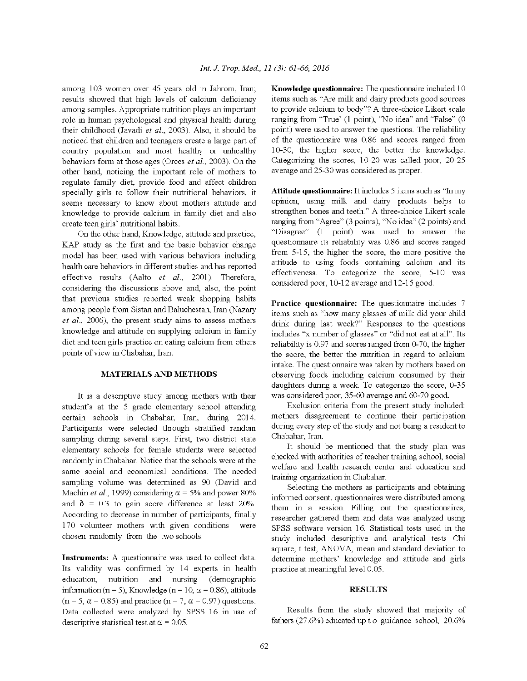among 103 women over 45 years old in Jahrom, Iran; results showed that high levels of calcium deficiency among samples. Appropriate nutrition plays an important role in human psychological and physical health during their childhood (Javadi et al., 2003). Also, it should be noticed that children and teenagers create a large part of country population and most healthy or unhealthy behaviors form at those ages (Orces *et al.*, 2003). On the other hand, noticing the important role of mothers to regulate family diet, provide food and affect children specially girls to follow their nutritional behaviors, it seems necessary to know about mothers attitude and knowledge to provide calcium in family diet and also create teen girls' nutritional habits.

On the other hand, Knowledge, attitude and practice, KAP study as the first and the basic behavior change model has been used with various behaviors including health care behaviors in different studies and has reported effective results (Aalto et al., 2001). Therefore, considering the discussions above and, also, the point that previous studies reported weak shopping habits among people from Sistan and Baluchestan, Iran (Nazary *et al.*, 2006), the present study aims to assess mothers knowledge and attitude on supplying calcium in family diet and teen girls practice on eating calcium from others points of view in Chabahar, Iran.

# **MATERIALS AND METHODS**

It is a descriptive study among mothers with their student's at the 5 grade elementary school attending certain schools in Chabahar, Iran, during 2014. Participants were selected through stratified random sampling during several steps. First, two district state elementary schools for female students were selected randomly in Chabahar. Notice that the schools were at the same social and economical conditions. The needed sampling volume was determined as 90 (David and Machin *et al.*, 1999) considering  $\alpha = 5\%$  and power 80% and  $\delta$  = 0.3 to gain score difference at least 20%. According to decrease in number of participants, finally 170 volunteer mothers with given conditions were chosen randomly from the two schools.

Instruments: A questionnaire was used to collect data. Its validity was confirmed by 14 experts in health education, nutrition and nursing (demographic information (n = 5), Knowledge (n = 10,  $\alpha$  = 0.86), attitude  $(n = 5, \alpha = 0.85)$  and practice  $(n = 7, \alpha = 0.97)$  questions. Data collected were analyzed by SPSS 16 in use of descriptive statistical test at  $\alpha = 0.05$ .

Knowledge questionnaire: The questionnaire included 10 items such as "Are milk and dairy products good sources to provide calcium to body"? A three-choice Likert scale ranging from "True' (1 point), "No idea" and "False" (0 point) were used to answer the questions. The reliability of the questionnaire was 0.86 and scores ranged from 10-30, the higher score, the better the knowledge. Categorizing the scores, 10-20 was called poor, 20-25 average and 25-30 was considered as proper.

**Attitude questionnaire:** It includes 5 items such as "In my opinion, using milk and dairy products helps to strengthen bones and teeth." A three-choice Likert scale ranging from "Agree" (3 points), "No idea" (2 points) and "Disagree" (1 point) was used to answer the questionnaire its reliability was 0.86 and scores ranged from 5-15, the higher the score, the more positive the attitude to using foods containing calcium and its effectiveness. To categorize the score, 5-10 was considered poor, 10-12 average and 12-15 good.

Practice questionnaire: The questionnaire includes 7 items such as "how many glasses of milk did your child drink during last week?" Responses to the questions includes "x number of glasses" or "did not eat at all". Its reliability is 0.97 and scores ranged from 0-70, the higher the score, the better the nutrition in regard to calcium intake. The questionnaire was taken by mothers based on observing foods including calcium consumed by their daughters during a week. To categorize the score, 0-35 was considered poor, 35-60 average and 60-70 good.

Exclusion criteria from the present study included: mothers disagreement to continue their participation during every step of the study and not being a resident to Chabahar, Iran.

It should be mentioned that the study plan was checked with authorities of teacher training school, social welfare and health research center and education and training organization in Chabahar.

Selecting the mothers as participants and obtaining informed consent, questionnaires were distributed among them in a session. Filling out the questionnaires, researcher gathered them and data was analyzed using SPSS software version 16. Statistical tests used in the study included descriptive and analytical tests Chi square, t test, ANOVA, mean and standard deviation to determine mothers' knowledge and attitude and girls practice at meaningful level 0.05.

## **RESULTS**

Results from the study showed that majority of fathers (27.6%) educated up t o guidance school, 20.6%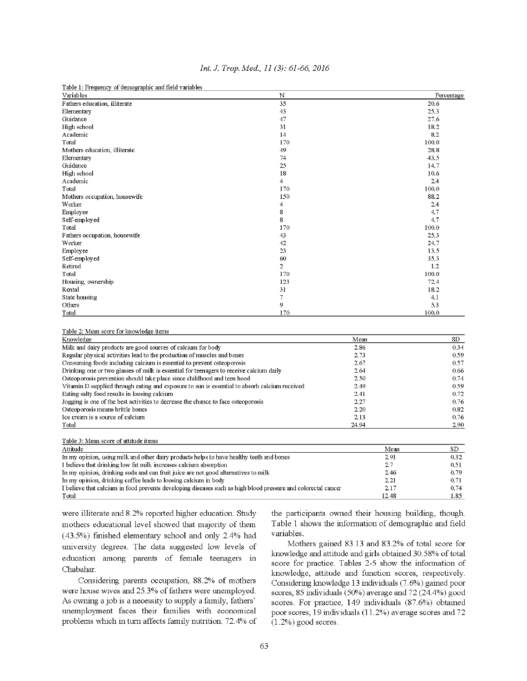| Table 1: Frequency of demographic and field variables |                |            |
|-------------------------------------------------------|----------------|------------|
| Variables                                             | N              | Percentage |
| Fathers education, illiterate                         | 35             | 20.6       |
| Elementary                                            | 43             | 25.3       |
| Guidance                                              | 47             | 27.6       |
| High school                                           | 31             | 18.2       |
| Academic                                              | 14             | 8.2        |
| Total                                                 | 170            | 100.0      |
| Mothers education, illiterate                         | 49             | 28.8       |
| Elementary                                            | 74             | 43.5       |
| Guidance                                              | 25             | 14.7       |
| High school                                           | 18             | 10.6       |
| Academic                                              | 4              | 2.4        |
| Total                                                 | 170            | 100.0      |
| Mothers occupation, housewife                         | 150            | 88.2       |
| Worker                                                | 4              | 2.4        |
| Employee                                              | 8              | 4.7        |
| Self-employed                                         | 8              | 4.7        |
| Total                                                 | 170            | 100.0      |
| Fathers occupation, housewife                         | 43             | 25.3       |
| Worker                                                | 42             | 24.7       |
| Employee                                              | 23             | 13.5       |
| Self-employed                                         | 60             | 35.3       |
| Retired                                               | $\overline{2}$ | 1.2        |
| Total                                                 | 170            | 100.0      |
| Housing, ownership                                    | 123            | 72.4       |
| Rental                                                | 31             | 18.2       |
| State housing                                         | 7              | 4.1        |
| Others                                                | 9              | 5.3        |
| Total                                                 | 170            | 100.0      |

## Int. J. Trop. Med., 11 (3): 61-66, 2016

#### Table 2: Mean score for knowledge items

Toble 2: Moon seem of ottitude items

| Knowledge                                                                                     | Mean  | SD.  |
|-----------------------------------------------------------------------------------------------|-------|------|
| Milk and dairy products are good sources of calcium for body                                  | 2.86  | 0.34 |
| Regular physical activities lead to the production of muscles and bones                       | 2.73  | 0.59 |
| Consuming foods including calcium is essential to prevent osteoporosis                        | 2.67  | 0.57 |
| Drinking one or two glasses of milk is essential for teenagers to receive calcium daily       | 2.64  | 0.66 |
| Osteoporosis prevention should take place since childhood and teen hood                       | 2.50  | 0.74 |
| Vitamin D supplied through eating and exposure to sun is essential to absorb calcium received | 2.49  | 0.59 |
| Eating salty food results in loosing calcium                                                  | 2.41  | 0.72 |
| Jogging is one of the best activities to decrease the chance to face osteoporosis             | 2.27  | 0.76 |
| Osteoporosis means brittle bones                                                              | 2.20  | 0.82 |
| Ice cream is a source of calcium                                                              | 2.13  | 0.76 |
| Total                                                                                         | 24.94 | 2.90 |

| Tavit 3. inicali score of attitude fights                                                |        |
|------------------------------------------------------------------------------------------|--------|
| Attitude                                                                                 | Mean   |
| In my opinion, using milk and other dairy products helps to have healthy teeth and bones | 2.91   |
| I believe that drinking low fat milk increases calcium absorption                        | $-2.7$ |
| In my opinion, drinking soda and can fruit juice are not good alternatives to milk       | 2.46   |
|                                                                                          |        |

In my opinion, drinking coffee leads to loosing calcium in body 0.71 2.21 I believe that calcium in food prevents developing diseases such as high blood pressure and colorectal cancer 2.17 0.74 Total 12.48 1.85

were illiterate and 8.2% reported higher education. Study mothers educational level showed that majority of them (43.5%) finished elementary school and only 2.4% had university degrees. The data suggested low levels of education among parents of female teenagers in Chabahar.

Considering parents occupation, 88.2% of mothers were house wives and 25.3% of fathers were unemployed. As owning a job is a necessity to supply a family, fathers' unemployment faces their families with economical problems which in turn affects family nutrition. 72.4% of the participants owned their housing building, though. Table 1 shows the information of demographic and field variables.

 $SD$ 

0.32 0.51 0.79

Mothers gained 83.13 and 83.2% of total score for knowledge and attitude and girls obtained 30.58% of total score for practice. Tables 2-5 show the information of knowledge, attitude and function scores, respectively. Considering knowledge 13 individuals (7.6%) gained poor scores, 85 individuals (50%) average and 72 (24.4%) good scores. For practice, 149 individuals (87.6%) obtained poor scores, 19 individuals (11.2%) average scores and 72  $(1.2\%)$  good scores.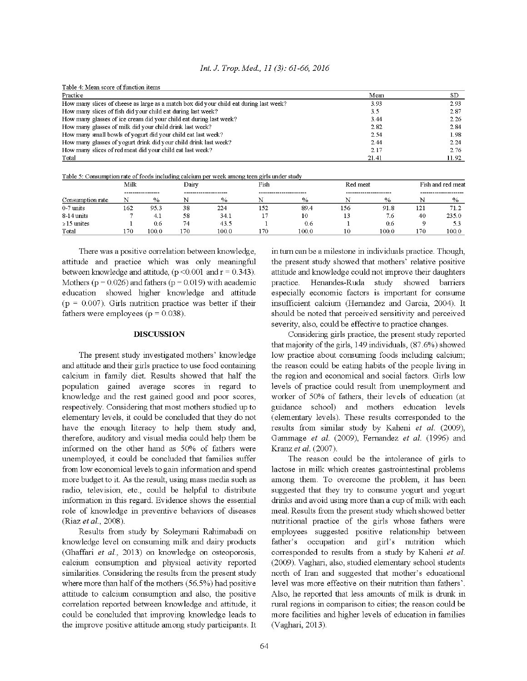|  |  |  |  |  |  | Int. J. Trop. Med., 11 (3): 61-66, 2016 |  |
|--|--|--|--|--|--|-----------------------------------------|--|
|--|--|--|--|--|--|-----------------------------------------|--|

| Table 4: Mean score of function items                                                  |       |       |
|----------------------------------------------------------------------------------------|-------|-------|
| Practice                                                                               | Mean  | SD.   |
| How many slices of cheese as large as a match box did your child eat during last week? | 3.93  | 2.93  |
| How many slices of fish did your child eat during last week?                           | 3.5   | 2.87  |
| How many glasses of ice cream did your child eat during last week?                     | 3.44  | 2.26  |
| How many glasses of milk did your child drink last week?                               | 2.82  | 2.84  |
| How many small bowls of yogurt did your child eat last week?                           | 2.54  | 1.98  |
| How many glasses of yogurt drink did your child drink last week?                       | 2.44  | 2.24  |
| How many slices of red meat did your child eat last week?                              | 2.17  | 2.76  |
| Total                                                                                  | 21.41 | 11.92 |

| Table 5: Consumption rate of foods including calcium per week among teen girls under study |  |  |  |
|--------------------------------------------------------------------------------------------|--|--|--|
|                                                                                            |  |  |  |

|                  | Milk |                   | Dairv |                      |     | Fish                    |     | Red meat               |     | Fish and red meat     |  |
|------------------|------|-------------------|-------|----------------------|-----|-------------------------|-----|------------------------|-----|-----------------------|--|
|                  |      | ----------------- |       | -------------------- |     | ----------------------- |     | ---------------------- |     | --------------------- |  |
| Consumption rate | N    | $\%$              |       | %                    |     | $\%$                    |     | $\%$                   |     | $\%$                  |  |
| $0-7$ units      | 162  | 95.3              | 38    | 224                  | 152 | 89.4                    | 156 | 91.8                   | 121 |                       |  |
| 8-14 units       |      | 4.1               | 58    | 34.1                 | л.  | 10                      | . J | 7.6                    | -40 | 235.0                 |  |
| $\geq$ 15 unites |      | 0.6               | 74    | 43.5                 |     | 0.6                     |     | 0.6                    |     | 53                    |  |
| Total            | 170  | LOO. 0            | 170.  | 100.0                | 170 | 100.0                   | 10  | 100.0                  | 170 | 100.0                 |  |

There was a positive correlation between knowledge, attitude and practice which was only meaningful between knowledge and attitude,  $(p < 0.001$  and  $r = 0.343$ ). Mothers ( $p = 0.026$ ) and fathers ( $p = 0.019$ ) with academic education showed higher knowledge and attitude ( $p = 0.007$ ). Girls nutrition practice was better if their fathers were employees ( $p = 0.038$ ).

### **DISCUSSION**

The present study investigated mothers' knowledge and attitude and their girls practice to use food containing calcium in family diet. Results showed that half the population gained average scores in regard to knowledge and the rest gained good and poor scores, respectively. Considering that most mothers studied up to elementary levels, it could be concluded that they do not have the enough literacy to help them study and, therefore, auditory and visual media could help them be informed on the other hand as 50% of fathers were unemployed, it could be concluded that families suffer from low economical levels to gain information and spend more budget to it. As the result, using mass media such as radio, television, etc., could be helpful to distribute information in this regard. Evidence shows the essential role of knowledge in preventive behaviors of diseases (Riaz et al., 2008).

Results from study by Soleymani Rahimabadi on knowledge level on consuming milk and dairy products (Ghaffari et al., 2013) on knowledge on osteoporosis, calcium consumption and physical activity reported similarities. Considering the results from the present study where more than half of the mothers (56.5%) had positive attitude to calcium consumption and also, the positive correlation reported between knowledge and attitude, it could be concluded that improving knowledge leads to the improve positive attitude among study participants. It in turn can be a milestone in individuals practice. Though, the present study showed that mothers' relative positive attitude and knowledge could not improve their daughters practice. Henandes-Ruda study showed barriers especially economic factors is important for consume insufficient calcium (Hernandez and Garcia, 2004). It should be noted that perceived sensitivity and perceived severity, also, could be effective to practice changes.

Considering girls practice, the present study reported that majority of the girls, 149 individuals, (87.6%) showed low practice about consuming foods including calcium; the reason could be eating habits of the people living in the region and economical and social factors. Girls low levels of practice could result from unemployment and worker of 50% of fathers, their levels of education (at guidance school) and mothers education levels (elementary levels). These results corresponded to the results from similar study by Kaheni et al. (2009), Gammage et al. (2009), Fernandez et al. (1996) and Kranz et al. (2007).

The reason could be the intolerance of girls to lactose in milk which creates gastrointestinal problems among them. To overcome the problem, it has been suggested that they try to consume yogurt and yogurt drinks and avoid using more than a cup of milk with each meal. Results from the present study which showed better nutritional practice of the girls whose fathers were employees suggested positive relationship between father's occupation and girl's nutrition which corresponded to results from a study by Kaheni et al. (2009). Vaghari, also, studied elementary school students north of Iran and suggested that mother's educational level was more effective on their nutrition than fathers'. Also, he reported that less amounts of milk is drunk in rural regions in comparison to cities, the reason could be more facilities and higher levels of education in families (Vaghari, 2013).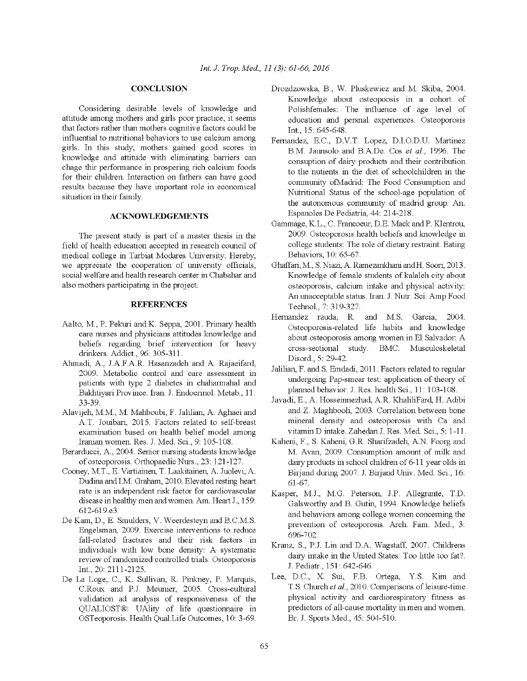### **CONCLUSION**

Considering desirable levels of knowledge and attitude among mothers and girls poor practice, it seems that factors rather than mothers cognitive factors could be influential to nutritional behaviors to use calcium among girls. In this study, mothers gained good scores in knowledge and attitude with eliminating barriers can chage thir performance in prospering rich calcium foods for their children. Interaction on fathers can have good results because they have important role in economical situation in their family.

## **ACKNOWLEDGEMENTS**

The present study is part of a master thesis in the field of health education accepted in research council of medical college in Tarbiat Modares University. Hereby, we appreciate the cooperation of university officials, social welfare and health research center in Chabahar and also mothers participating in the project.

## **REFERENCES**

- Aalto, M., P. Pekuri and K. Seppa, 2001. Primary health care nurses and physicians attitudes knowledge and beliefs regarding brief intervention for heavy drinkers. Addict., 96: 305-311.
- Ahmadi, A., J.A.F.A.R. Hasanzadeh and A. Rajaeifard, 2009. Metabolic control and care assessment in patients with type 2 diabetes in chaharmahal and Bakhtiyari Province. Iran. J. Endocrinol. Metab., 11: 33-39.
- Alavijeh, M.M., M. Mahboubi, F. Jalilian, A. Aghaei and A.T. Jouibari, 2015. Factors related to self-breast examination based on health belief model among Iranian women. Res. J. Med. Sci., 9: 105-108.
- Berarducci, A., 2004. Senior nursing students knowledge of osteoporosis. Orthopaedic Nurs., 23: 121-127.
- Cooney, M.T., E. Vartiainen, T. Laakitainen, A. Juolevi, A. Dudina and I.M. Graham, 2010. Elevated resting heart rate is an independent risk factor for cardiovascular disease in healthy men and women. Am. Heart J., 159: 612-619.e3.
- De Kam, D., E. Smulders, V. Weerdesteyn and B.C.M.S. Engelsman, 2009. Exercise interventions to reduce fall-related fractures and their risk factors in individuals with low bone density: A systematic review of randomized controlled trials. Osteoporosis Int., 20: 2111-2125.
- De La Loge, C., K. Sullivan, R. Pinkney, P. Marquis, C.Roux and P.J. Meunier, 2005. Cross-cultural validation ad analysis of responsiveness of the QUALIOST®: UAlity of life questionnaire in OSTeoporosis. Health Qual Life Outcomes, 10: 3-69.
- Drozdzowska, B., W. Pluskewicz and M. Skiba, 2004. Knowledge about osteopoosis in a cohort of Polishfemales: The influence of age level of education and persnal experiences. Osteoporosis Int., 15: 645-648.
- Fernandez, E.C., D.V.T. Lopez, D.I.O.D.U. Martinez B.M. Jaunsolo and B.A.De. Cos et al., 1996. The consuption of dairy products and their contribution to the nutients in the diet of schoolchildren in the community ofMadrid: The Food Consumption and Nutritional Status of the school-age population of the autonomous community of madrid group. An. Espanoles De Pediatria, 44: 214-218.
- Gammage, K.L., C. Francoeur, D.E. Mack and P. Klentrou, 2009. Osteoporosis health beliefs and knowledge in college students: The role of dietary restraint. Eating Behaviors, 10: 65-67.
- Ghaffari, M., S. Niazi, A. Ramezankhani and H. Soori, 2013. Knowledge of female students of kalaleh city about osteoporosis, calcium intake and physical activity: An unacceptable status. Iran. J. Nutr. Sci. Amp Food Technol., 7: 319-327.
- Hernandez rauda, R. and M.S. Garcia, 2004. Osteoporosis-related life habits and knowledge about osteoporosis among women in El Salvador: A cross-sectional study. BMC. Musculoskeletal Disord., 5: 29-42.
- Jalilian, F. and S. Emdadi, 2011. Factors related to regular undergoing Pap-smear test: application of theory of planned behavior. J. Res. health Sci., 11: 103-108.
- Javadi, E., A. Hosseinnezhad, A.R. KhaliliFard, H. Adibi and Z. Maghbooli, 2003. Correlation between bone mineral density and osteoporosis with Ca and vitamin D intake. Zahedan J. Res. Med. Sci., 5: 1-11.
- Kaheni, F., S. Kaheni, G.R. Sharifzadeh, A.N. Foorg and M. Avan, 2009. Consumption amount of milk and dairy products in school children of 6-11 year olds in Birjand during 2007. J. Birjand Univ. Med. Sci., 16:  $61-67$ .
- Kasper, M.J., M.G. Peterson, J.P. Allegrante, T.D. Galsworthy and B. Gutin, 1994. Knowledge beliefs and behaviors among college women concerning the prevention of osteoporosis. Arch. Fam. Med., 3: 696-702.
- Kranz, S., P.J. Lin and D.A. Wagstaff, 2007. Childrens dairy intake in the United States: Too little too fat?. J. Pediatr., 151: 642-646.
- Lee, D.C., X. Sui, F.B. Ortega, Y.S. Kim and T.S. Church et al., 2010. Comparisons of leisure-time physical activity and cardiorespiratory fitness as predictors of all-cause mortality in men and women. Br. J. Sports Med., 45: 504-510.